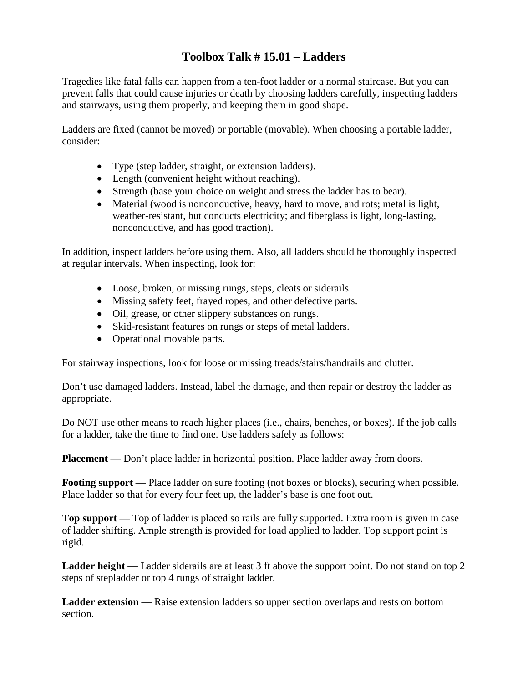## **Toolbox Talk # 15.01 – Ladders**

Tragedies like fatal falls can happen from a ten-foot ladder or a normal staircase. But you can prevent falls that could cause injuries or death by choosing ladders carefully, inspecting ladders and stairways, using them properly, and keeping them in good shape.

Ladders are fixed (cannot be moved) or portable (movable). When choosing a portable ladder, consider:

- Type (step ladder, straight, or extension ladders).
- Length (convenient height without reaching).
- Strength (base your choice on weight and stress the ladder has to bear).
- Material (wood is nonconductive, heavy, hard to move, and rots; metal is light, weather-resistant, but conducts electricity; and fiberglass is light, long-lasting, nonconductive, and has good traction).

In addition, inspect ladders before using them. Also, all ladders should be thoroughly inspected at regular intervals. When inspecting, look for:

- Loose, broken, or missing rungs, steps, cleats or siderails.
- Missing safety feet, frayed ropes, and other defective parts.
- Oil, grease, or other slippery substances on rungs.
- Skid-resistant features on rungs or steps of metal ladders.
- Operational movable parts.

For stairway inspections, look for loose or missing treads/stairs/handrails and clutter.

Don't use damaged ladders. Instead, label the damage, and then repair or destroy the ladder as appropriate.

Do NOT use other means to reach higher places (i.e., chairs, benches, or boxes). If the job calls for a ladder, take the time to find one. Use ladders safely as follows:

**Placement** — Don't place ladder in horizontal position. Place ladder away from doors.

**Footing support** — Place ladder on sure footing (not boxes or blocks), securing when possible. Place ladder so that for every four feet up, the ladder's base is one foot out.

**Top support** — Top of ladder is placed so rails are fully supported. Extra room is given in case of ladder shifting. Ample strength is provided for load applied to ladder. Top support point is rigid.

**Ladder height** — Ladder siderails are at least 3 ft above the support point. Do not stand on top 2 steps of stepladder or top 4 rungs of straight ladder.

**Ladder extension** — Raise extension ladders so upper section overlaps and rests on bottom section.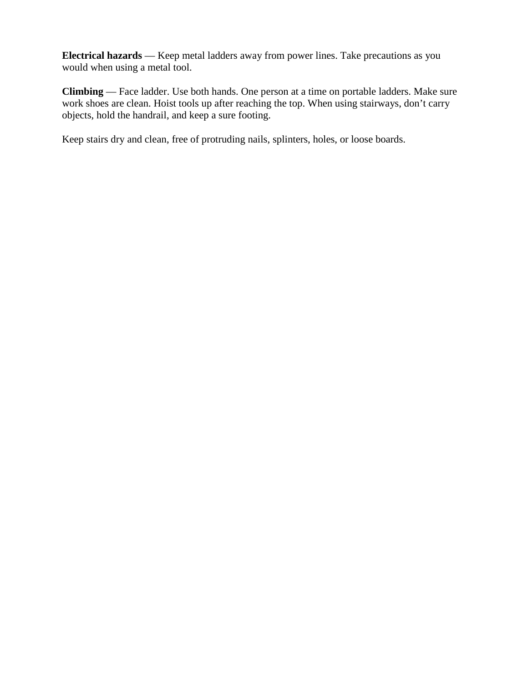**Electrical hazards** — Keep metal ladders away from power lines. Take precautions as you would when using a metal tool.

**Climbing** — Face ladder. Use both hands. One person at a time on portable ladders. Make sure work shoes are clean. Hoist tools up after reaching the top. When using stairways, don't carry objects, hold the handrail, and keep a sure footing.

Keep stairs dry and clean, free of protruding nails, splinters, holes, or loose boards.